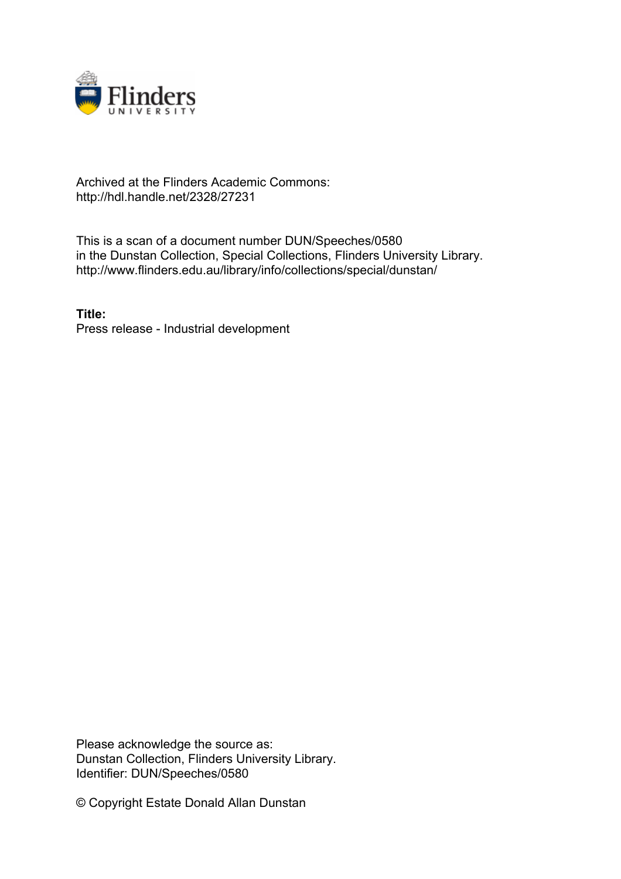

## Archived at the Flinders Academic Commons: http://hdl.handle.net/2328/27231

This is a scan of a document number DUN/Speeches/0580 in the Dunstan Collection, Special Collections, Flinders University Library. http://www.flinders.edu.au/library/info/collections/special/dunstan/

**Title:** Press release - Industrial development

Please acknowledge the source as: Dunstan Collection, Flinders University Library. Identifier: DUN/Speeches/0580

© Copyright Estate Donald Allan Dunstan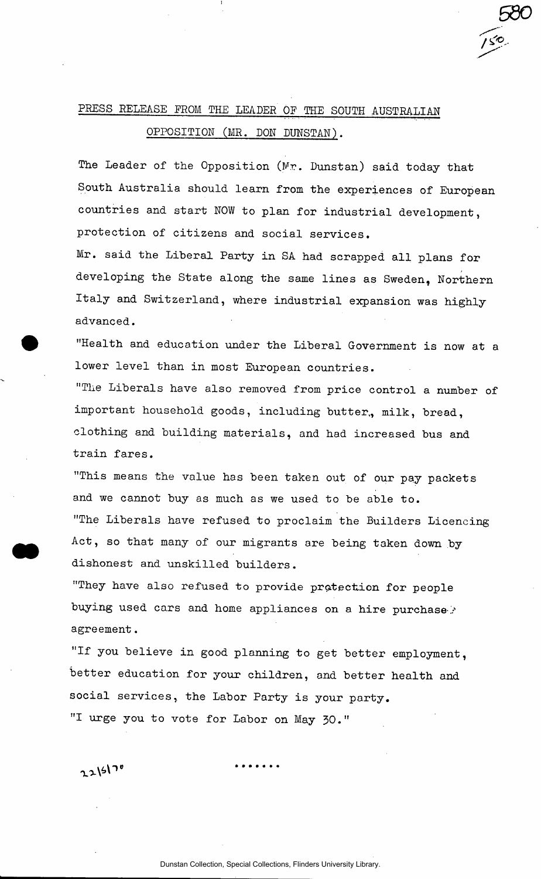## PRESS RELEASE FROM THE LEADER OF THE SOUTH AUSTRALIAN OPPOSITION (MR. DON DUNSTAN).

The Leader of the Opposition (Mr. Dunstan) said today that South Australia should learn from the experiences of European countries and start NOW to plan for industrial development, protection of citizens and social services.

**5S0** 

Mr. said the Liberal Party in SA had scrapped all plans for developing the State along the same lines as Sweden, Northern Italy and Switzerland, where industrial expansion was highly advanced.

"Health and education under the Liberal Government is now at a lower level than in most European countries.

"The Liberals have also removed from price control a number of important household goods, including butter, milk, bread, clothing and building materials, and had increased bus and train fares.

"This means the value has been taken out of our pay packets and we cannot buy as much as we used to be able to. "The Liberals have refused to proclaim the Builders Licencing Act, so that many of our migrants are being taken down by dishonest and unskilled builders.

"They have also refused to provide protection for people buying used cars and home appliances on a hire purchaseagreement.

"If you believe in good planning to get better employment, better education for your children, and better health and social services, the Labor Party is your party. "I urge you to vote for Labor on May 30."

 $2215170$